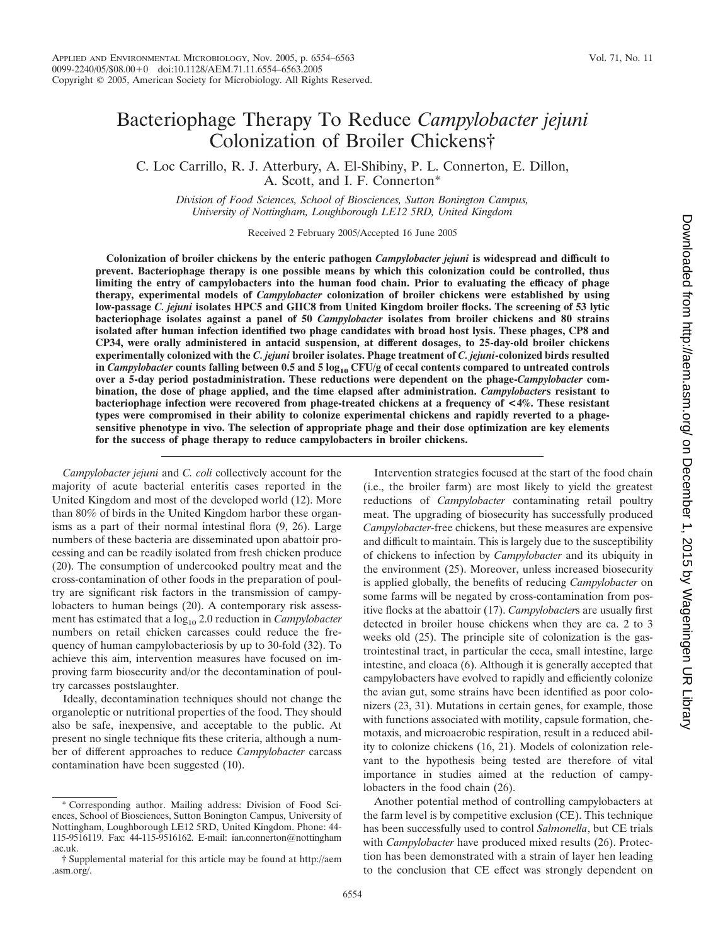# Bacteriophage Therapy To Reduce *Campylobacter jejuni* Colonization of Broiler Chickens†

C. Loc Carrillo, R. J. Atterbury, A. El-Shibiny, P. L. Connerton, E. Dillon, A. Scott, and I. F. Connerton\*

*Division of Food Sciences, School of Biosciences, Sutton Bonington Campus, University of Nottingham, Loughborough LE12 5RD, United Kingdom*

Received 2 February 2005/Accepted 16 June 2005

**Colonization of broiler chickens by the enteric pathogen** *Campylobacter jejuni* **is widespread and difficult to prevent. Bacteriophage therapy is one possible means by which this colonization could be controlled, thus limiting the entry of campylobacters into the human food chain. Prior to evaluating the efficacy of phage therapy, experimental models of** *Campylobacter* **colonization of broiler chickens were established by using low-passage** *C. jejuni* **isolates HPC5 and GIIC8 from United Kingdom broiler flocks. The screening of 53 lytic bacteriophage isolates against a panel of 50** *Campylobacter* **isolates from broiler chickens and 80 strains isolated after human infection identified two phage candidates with broad host lysis. These phages, CP8 and CP34, were orally administered in antacid suspension, at different dosages, to 25-day-old broiler chickens experimentally colonized with the** *C. jejuni* **broiler isolates. Phage treatment of** *C. jejuni***-colonized birds resulted** in *Campylobacter* counts falling between 0.5 and 5 log<sub>10</sub> CFU/g of cecal contents compared to untreated controls **over a 5-day period postadministration. These reductions were dependent on the phage-***Campylobacter* **combination, the dose of phage applied, and the time elapsed after administration.** *Campylobacter***s resistant to bacteriophage infection were recovered from phage-treated chickens at a frequency of <4%. These resistant types were compromised in their ability to colonize experimental chickens and rapidly reverted to a phagesensitive phenotype in vivo. The selection of appropriate phage and their dose optimization are key elements for the success of phage therapy to reduce campylobacters in broiler chickens.**

*Campylobacter jejuni* and *C. coli* collectively account for the majority of acute bacterial enteritis cases reported in the United Kingdom and most of the developed world (12). More than 80% of birds in the United Kingdom harbor these organisms as a part of their normal intestinal flora (9, 26). Large numbers of these bacteria are disseminated upon abattoir processing and can be readily isolated from fresh chicken produce (20). The consumption of undercooked poultry meat and the cross-contamination of other foods in the preparation of poultry are significant risk factors in the transmission of campylobacters to human beings (20). A contemporary risk assessment has estimated that a  $log_{10} 2.0$  reduction in *Campylobacter* numbers on retail chicken carcasses could reduce the frequency of human campylobacteriosis by up to 30-fold (32). To achieve this aim, intervention measures have focused on improving farm biosecurity and/or the decontamination of poultry carcasses postslaughter.

Ideally, decontamination techniques should not change the organoleptic or nutritional properties of the food. They should also be safe, inexpensive, and acceptable to the public. At present no single technique fits these criteria, although a number of different approaches to reduce *Campylobacter* carcass contamination have been suggested (10).

Intervention strategies focused at the start of the food chain (i.e., the broiler farm) are most likely to yield the greatest reductions of *Campylobacter* contaminating retail poultry meat. The upgrading of biosecurity has successfully produced *Campylobacter*-free chickens, but these measures are expensive and difficult to maintain. This is largely due to the susceptibility of chickens to infection by *Campylobacter* and its ubiquity in the environment (25). Moreover, unless increased biosecurity is applied globally, the benefits of reducing *Campylobacter* on some farms will be negated by cross-contamination from positive flocks at the abattoir (17). *Campylobacter*s are usually first detected in broiler house chickens when they are ca. 2 to 3 weeks old (25). The principle site of colonization is the gastrointestinal tract, in particular the ceca, small intestine, large intestine, and cloaca (6). Although it is generally accepted that campylobacters have evolved to rapidly and efficiently colonize the avian gut, some strains have been identified as poor colonizers (23, 31). Mutations in certain genes, for example, those with functions associated with motility, capsule formation, chemotaxis, and microaerobic respiration, result in a reduced ability to colonize chickens (16, 21). Models of colonization relevant to the hypothesis being tested are therefore of vital importance in studies aimed at the reduction of campylobacters in the food chain (26).

Another potential method of controlling campylobacters at the farm level is by competitive exclusion (CE). This technique has been successfully used to control *Salmonella*, but CE trials with *Campylobacter* have produced mixed results (26). Protection has been demonstrated with a strain of layer hen leading to the conclusion that CE effect was strongly dependent on

<sup>\*</sup> Corresponding author. Mailing address: Division of Food Sciences, School of Biosciences, Sutton Bonington Campus, University of Nottingham, Loughborough LE12 5RD, United Kingdom. Phone: 44- 115-9516119. Fax: 44-115-9516162. E-mail: ian.connerton@nottingham .ac.uk.

<sup>†</sup> Supplemental material for this article may be found at http://aem .asm.org/.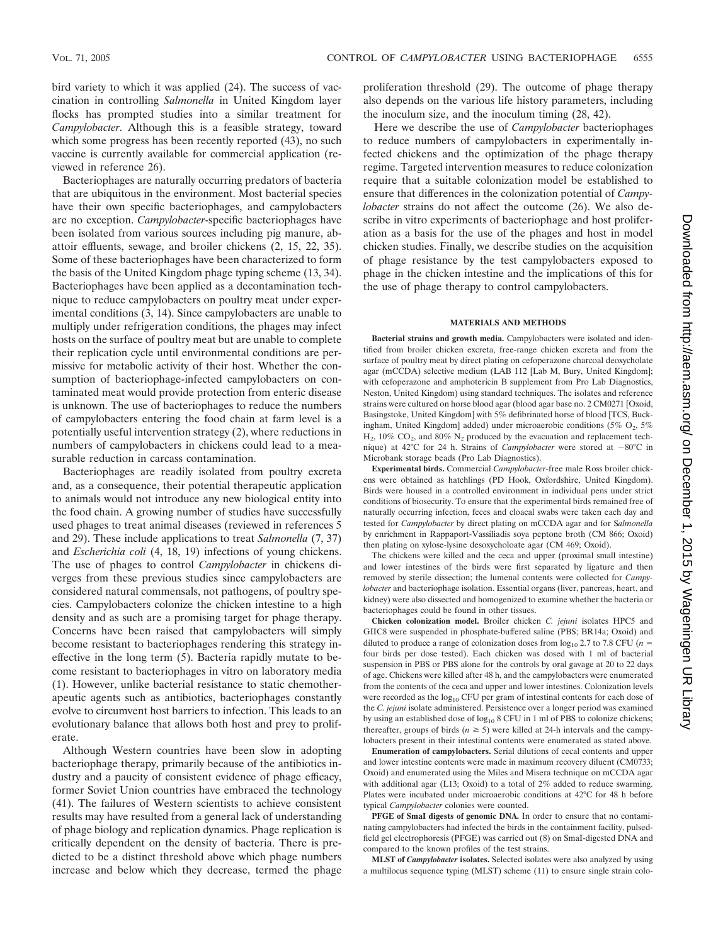bird variety to which it was applied (24). The success of vaccination in controlling *Salmonella* in United Kingdom layer flocks has prompted studies into a similar treatment for *Campylobacter*. Although this is a feasible strategy, toward which some progress has been recently reported (43), no such vaccine is currently available for commercial application (reviewed in reference 26).

Bacteriophages are naturally occurring predators of bacteria that are ubiquitous in the environment. Most bacterial species have their own specific bacteriophages, and campylobacters are no exception. *Campylobacter*-specific bacteriophages have been isolated from various sources including pig manure, abattoir effluents, sewage, and broiler chickens (2, 15, 22, 35). Some of these bacteriophages have been characterized to form the basis of the United Kingdom phage typing scheme (13, 34). Bacteriophages have been applied as a decontamination technique to reduce campylobacters on poultry meat under experimental conditions (3, 14). Since campylobacters are unable to multiply under refrigeration conditions, the phages may infect hosts on the surface of poultry meat but are unable to complete their replication cycle until environmental conditions are permissive for metabolic activity of their host. Whether the consumption of bacteriophage-infected campylobacters on contaminated meat would provide protection from enteric disease is unknown. The use of bacteriophages to reduce the numbers of campylobacters entering the food chain at farm level is a potentially useful intervention strategy (2), where reductions in numbers of campylobacters in chickens could lead to a measurable reduction in carcass contamination.

Bacteriophages are readily isolated from poultry excreta and, as a consequence, their potential therapeutic application to animals would not introduce any new biological entity into the food chain. A growing number of studies have successfully used phages to treat animal diseases (reviewed in references 5 and 29). These include applications to treat *Salmonella* (7, 37) and *Escherichia coli* (4, 18, 19) infections of young chickens. The use of phages to control *Campylobacter* in chickens diverges from these previous studies since campylobacters are considered natural commensals, not pathogens, of poultry species. Campylobacters colonize the chicken intestine to a high density and as such are a promising target for phage therapy. Concerns have been raised that campylobacters will simply become resistant to bacteriophages rendering this strategy ineffective in the long term (5). Bacteria rapidly mutate to become resistant to bacteriophages in vitro on laboratory media (1). However, unlike bacterial resistance to static chemotherapeutic agents such as antibiotics, bacteriophages constantly evolve to circumvent host barriers to infection. This leads to an evolutionary balance that allows both host and prey to proliferate.

Although Western countries have been slow in adopting bacteriophage therapy, primarily because of the antibiotics industry and a paucity of consistent evidence of phage efficacy, former Soviet Union countries have embraced the technology (41). The failures of Western scientists to achieve consistent results may have resulted from a general lack of understanding of phage biology and replication dynamics. Phage replication is critically dependent on the density of bacteria. There is predicted to be a distinct threshold above which phage numbers increase and below which they decrease, termed the phage

proliferation threshold (29). The outcome of phage therapy also depends on the various life history parameters, including the inoculum size, and the inoculum timing (28, 42).

Here we describe the use of *Campylobacter* bacteriophages to reduce numbers of campylobacters in experimentally infected chickens and the optimization of the phage therapy regime. Targeted intervention measures to reduce colonization require that a suitable colonization model be established to ensure that differences in the colonization potential of *Campylobacter* strains do not affect the outcome (26). We also describe in vitro experiments of bacteriophage and host proliferation as a basis for the use of the phages and host in model chicken studies. Finally, we describe studies on the acquisition of phage resistance by the test campylobacters exposed to phage in the chicken intestine and the implications of this for the use of phage therapy to control campylobacters.

# **MATERIALS AND METHODS**

**Bacterial strains and growth media.** Campylobacters were isolated and identified from broiler chicken excreta, free-range chicken excreta and from the surface of poultry meat by direct plating on cefoperazone charcoal deoxycholate agar (mCCDA) selective medium (LAB 112 [Lab M, Bury, United Kingdom]; with cefoperazone and amphotericin B supplement from Pro Lab Diagnostics, Neston, United Kingdom) using standard techniques. The isolates and reference strains were cultured on horse blood agar (blood agar base no. 2 CM0271 [Oxoid, Basingstoke, United Kingdom] with 5% defibrinated horse of blood [TCS, Buckingham, United Kingdom] added) under microaerobic conditions (5%  $O_2$ , 5%  $H_2$ , 10% CO<sub>2</sub>, and 80% N<sub>2</sub> produced by the evacuation and replacement technique) at 42°C for 24 h. Strains of *Campylobacter* were stored at -80°C in Microbank storage beads (Pro Lab Diagnostics).

**Experimental birds.** Commercial *Campylobacter*-free male Ross broiler chickens were obtained as hatchlings (PD Hook, Oxfordshire, United Kingdom). Birds were housed in a controlled environment in individual pens under strict conditions of biosecurity. To ensure that the experimental birds remained free of naturally occurring infection, feces and cloacal swabs were taken each day and tested for *Campylobacter* by direct plating on mCCDA agar and for S*almonella* by enrichment in Rappaport-Vassiliadis soya peptone broth (CM 866; Oxoid) then plating on xylose-lysine desoxycholoate agar (CM 469; Oxoid).

The chickens were killed and the ceca and upper (proximal small intestine) and lower intestines of the birds were first separated by ligature and then removed by sterile dissection; the lumenal contents were collected for *Campylobacter* and bacteriophage isolation. Essential organs (liver, pancreas, heart, and kidney) were also dissected and homogenized to examine whether the bacteria or bacteriophages could be found in other tissues.

**Chicken colonization model.** Broiler chicken *C. jejuni* isolates HPC5 and GIIC8 were suspended in phosphate-buffered saline (PBS; BR14a; Oxoid) and diluted to produce a range of colonization doses from  $log_{10}$  2.7 to 7.8 CFU ( $n =$ four birds per dose tested). Each chicken was dosed with 1 ml of bacterial suspension in PBS or PBS alone for the controls by oral gavage at 20 to 22 days of age. Chickens were killed after 48 h, and the campylobacters were enumerated from the contents of the ceca and upper and lower intestines. Colonization levels were recorded as the  $log_{10}$  CFU per gram of intestinal contents for each dose of the *C. jejuni* isolate administered. Persistence over a longer period was examined by using an established dose of  $\log_{10}$  8 CFU in 1 ml of PBS to colonize chickens; thereafter, groups of birds ( $n \geq 5$ ) were killed at 24-h intervals and the campylobacters present in their intestinal contents were enumerated as stated above.

**Enumeration of campylobacters.** Serial dilutions of cecal contents and upper and lower intestine contents were made in maximum recovery diluent (CM0733; Oxoid) and enumerated using the Miles and Misera technique on mCCDA agar with additional agar (L13; Oxoid) to a total of 2% added to reduce swarming. Plates were incubated under microaerobic conditions at 42°C for 48 h before typical *Campylobacter* colonies were counted.

**PFGE of SmaI digests of genomic DNA.** In order to ensure that no contaminating campylobacters had infected the birds in the containment facility, pulsedfield gel electrophoresis (PFGE) was carried out (8) on SmaI-digested DNA and compared to the known profiles of the test strains.

**MLST of** *Campylobacter* **isolates.** Selected isolates were also analyzed by using a multilocus sequence typing (MLST) scheme (11) to ensure single strain colo-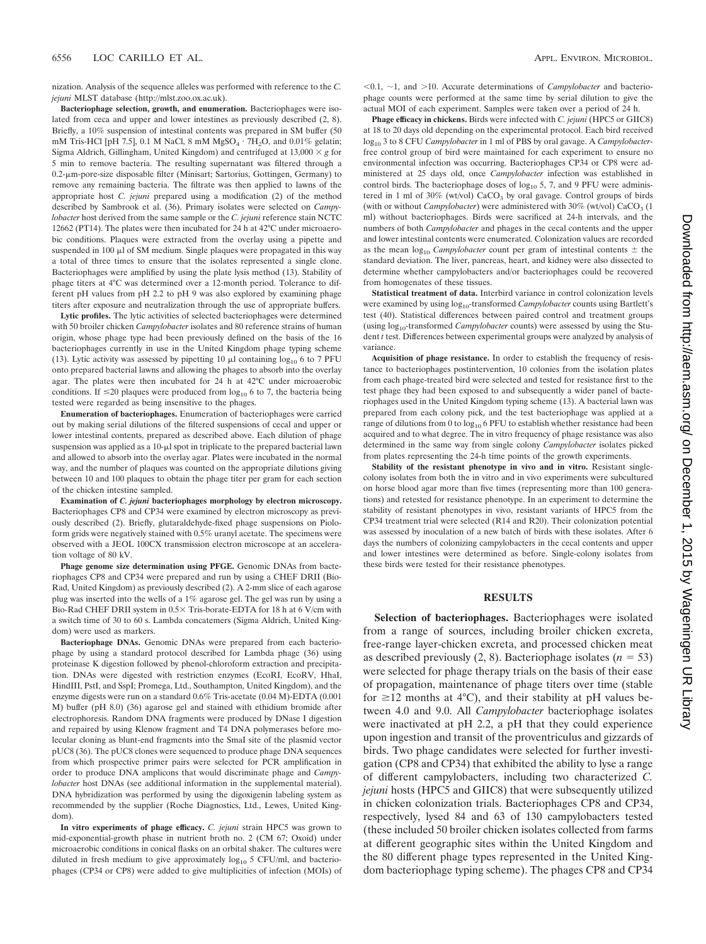nization. Analysis of the sequence alleles was performed with reference to the *C. jejuni* MLST database (http://mlst.zoo.ox.ac.uk).

**Bacteriophage selection, growth, and enumeration.** Bacteriophages were isolated from ceca and upper and lower intestines as previously described (2, 8). Briefly, a 10% suspension of intestinal contents was prepared in SM buffer (50 mM Tris-HCl [pH 7.5], 0.1 M NaCl, 8 mM  $MgSO<sub>4</sub> \cdot 7H<sub>2</sub>O$ , and 0.01% gelatin; Sigma Aldrich, Gillingham, United Kingdom) and centrifuged at  $13,000 \times g$  for 5 min to remove bacteria. The resulting supernatant was filtered through a 0.2-m-pore-size disposable filter (Minisart; Sartorius, Gottingen, Germany) to remove any remaining bacteria. The filtrate was then applied to lawns of the appropriate host *C. jejuni* prepared using a modification (2) of the method described by Sambrook et al. (36). Primary isolates were selected on *Campylobacter* host derived from the same sample or the *C. jejuni* reference stain NCTC 12662 (PT14). The plates were then incubated for 24 h at 42°C under microaerobic conditions. Plaques were extracted from the overlay using a pipette and suspended in  $100 \mu l$  of SM medium. Single plaques were propagated in this way a total of three times to ensure that the isolates represented a single clone. Bacteriophages were amplified by using the plate lysis method (13). Stability of phage titers at 4°C was determined over a 12-month period. Tolerance to different pH values from pH 2.2 to pH 9 was also explored by examining phage titers after exposure and neutralization through the use of appropriate buffers.

**Lytic profiles.** The lytic activities of selected bacteriophages were determined with 50 broiler chicken *Campylobacter* isolates and 80 reference strains of human origin, whose phage type had been previously defined on the basis of the 16 bacteriophages currently in use in the United Kingdom phage typing scheme (13). Lytic activity was assessed by pipetting 10  $\mu$ l containing log<sub>10</sub> 6 to 7 PFU onto prepared bacterial lawns and allowing the phages to absorb into the overlay agar. The plates were then incubated for 24 h at 42°C under microaerobic conditions. If  $\leq 20$  plaques were produced from  $\log_{10} 6$  to 7, the bacteria being tested were regarded as being insensitive to the phages.

**Enumeration of bacteriophages.** Enumeration of bacteriophages were carried out by making serial dilutions of the filtered suspensions of cecal and upper or lower intestinal contents, prepared as described above. Each dilution of phage suspension was applied as a  $10$ - $\mu$ l spot in triplicate to the prepared bacterial lawn and allowed to absorb into the overlay agar. Plates were incubated in the normal way, and the number of plaques was counted on the appropriate dilutions giving between 10 and 100 plaques to obtain the phage titer per gram for each section of the chicken intestine sampled.

**Examination of** *C. jejuni* **bacteriophages morphology by electron microscopy.** Bacteriophages CP8 and CP34 were examined by electron microscopy as previously described (2). Briefly, glutaraldehyde-fixed phage suspensions on Pioloform grids were negatively stained with 0.5% uranyl acetate. The specimens were observed with a JEOL 100CX transmission electron microscope at an acceleration voltage of 80 kV.

**Phage genome size determination using PFGE.** Genomic DNAs from bacteriophages CP8 and CP34 were prepared and run by using a CHEF DRII (Bio-Rad, United Kingdom) as previously described (2). A 2-mm slice of each agarose plug was inserted into the wells of a 1% agarose gel. The gel was run by using a Bio-Rad CHEF DRII system in  $0.5 \times$  Tris-borate-EDTA for 18 h at 6 V/cm with a switch time of 30 to 60 s. Lambda concatemers (Sigma Aldrich, United Kingdom) were used as markers.

**Bacteriophage DNAs.** Genomic DNAs were prepared from each bacteriophage by using a standard protocol described for Lambda phage (36) using proteinase K digestion followed by phenol-chloroform extraction and precipitation. DNAs were digested with restriction enzymes (EcoRI, EcoRV, HhaI, HindIII, PstI, and SspI; Promega, Ltd., Southampton, United Kingdom), and the enzyme digests were run on a standard 0.6% Tris-acetate (0.04 M)-EDTA (0.001 M) buffer (pH 8.0) (36) agarose gel and stained with ethidium bromide after electrophoresis. Random DNA fragments were produced by DNase I digestion and repaired by using Klenow fragment and T4 DNA polymerases before molecular cloning as blunt-end fragments into the SmaI site of the plasmid vector pUC8 (36). The pUC8 clones were sequenced to produce phage DNA sequences from which prospective primer pairs were selected for PCR amplification in order to produce DNA amplicons that would discriminate phage and *Campylobacter* host DNAs (see additional information in the supplemental material). DNA hybridization was performed by using the digoxigenin labeling system as recommended by the supplier (Roche Diagnostics, Ltd., Lewes, United Kingdom).

**In vitro experiments of phage efficacy.** *C. jejuni* strain HPC5 was grown to mid-exponential-growth phase in nutrient broth no. 2 (CM 67; Oxoid) under microaerobic conditions in conical flasks on an orbital shaker. The cultures were diluted in fresh medium to give approximately  $log_{10} 5$  CFU/ml, and bacteriophages (CP34 or CP8) were added to give multiplicities of infection (MOIs) of

 $<$ 0.1,  $\sim$ 1, and  $>$ 10. Accurate determinations of *Campylobacter* and bacteriophage counts were performed at the same time by serial dilution to give the actual MOI of each experiment. Samples were taken over a period of 24 h.

**Phage efficacy in chickens.** Birds were infected with *C. jejuni* (HPC5 or GIIC8) at 18 to 20 days old depending on the experimental protocol. Each bird received log10 3 to 8 CFU *Campylobacter* in 1 ml of PBS by oral gavage. A *Campylobacter*free control group of bird were maintained for each experiment to ensure no environmental infection was occurring. Bacteriophages CP34 or CP8 were administered at 25 days old, once *Campylobacter* infection was established in control birds. The bacteriophage doses of  $log_{10} 5$ , 7, and 9 PFU were administered in 1 ml of 30% (wt/vol)  $CaCO<sub>3</sub>$  by oral gavage. Control groups of birds (with or without *Campylobacter*) were administered with 30% (wt/vol) CaCO<sub>3</sub> (1 ml) without bacteriophages. Birds were sacrificed at 24-h intervals, and the numbers of both *Campylobacter* and phages in the cecal contents and the upper and lower intestinal contents were enumerated. Colonization values are recorded as the mean  $log_{10}$  *Campylobacter* count per gram of intestinal contents  $\pm$  the standard deviation. The liver, pancreas, heart, and kidney were also dissected to determine whether campylobacters and/or bacteriophages could be recovered from homogenates of these tissues.

**Statistical treatment of data.** Interbird variance in control colonization levels were examined by using  $log_{10}$ -transformed *Campylobacter* counts using Bartlett's test (40). Statistical differences between paired control and treatment groups (using  $log_{10}$ -transformed *Campylobacter* counts) were assessed by using the Student *t* test. Differences between experimental groups were analyzed by analysis of variance.

**Acquisition of phage resistance.** In order to establish the frequency of resistance to bacteriophages postintervention, 10 colonies from the isolation plates from each phage-treated bird were selected and tested for resistance first to the test phage they had been exposed to and subsequently a wider panel of bacteriophages used in the United Kingdom typing scheme (13). A bacterial lawn was prepared from each colony pick, and the test bacteriophage was applied at a range of dilutions from 0 to  $log_{10}$  6 PFU to establish whether resistance had been acquired and to what degree. The in vitro frequency of phage resistance was also determined in the same way from single colony *Campylobacter* isolates picked from plates representing the 24-h time points of the growth experiments.

**Stability of the resistant phenotype in vivo and in vitro.** Resistant singlecolony isolates from both the in vitro and in vivo experiments were subcultured on horse blood agar more than five times (representing more than 100 generations) and retested for resistance phenotype. In an experiment to determine the stability of resistant phenotypes in vivo, resistant variants of HPC5 from the CP34 treatment trial were selected (R14 and R20). Their colonization potential was assessed by inoculation of a new batch of birds with these isolates. After 6 days the numbers of colonizing campylobacters in the cecal contents and upper and lower intestines were determined as before. Single-colony isolates from these birds were tested for their resistance phenotypes.

# **RESULTS**

**Selection of bacteriophages.** Bacteriophages were isolated from a range of sources, including broiler chicken excreta, free-range layer-chicken excreta, and processed chicken meat as described previously  $(2, 8)$ . Bacteriophage isolates  $(n = 53)$ were selected for phage therapy trials on the basis of their ease of propagation, maintenance of phage titers over time (stable for  $\geq$ 12 months at 4°C), and their stability at pH values between 4.0 and 9.0. All *Campylobacter* bacteriophage isolates were inactivated at pH 2.2, a pH that they could experience upon ingestion and transit of the proventriculus and gizzards of birds. Two phage candidates were selected for further investigation (CP8 and CP34) that exhibited the ability to lyse a range of different campylobacters, including two characterized *C. jejuni* hosts (HPC5 and GIIC8) that were subsequently utilized in chicken colonization trials. Bacteriophages CP8 and CP34, respectively, lysed 84 and 63 of 130 campylobacters tested (these included 50 broiler chicken isolates collected from farms at different geographic sites within the United Kingdom and the 80 different phage types represented in the United Kingdom bacteriophage typing scheme). The phages CP8 and CP34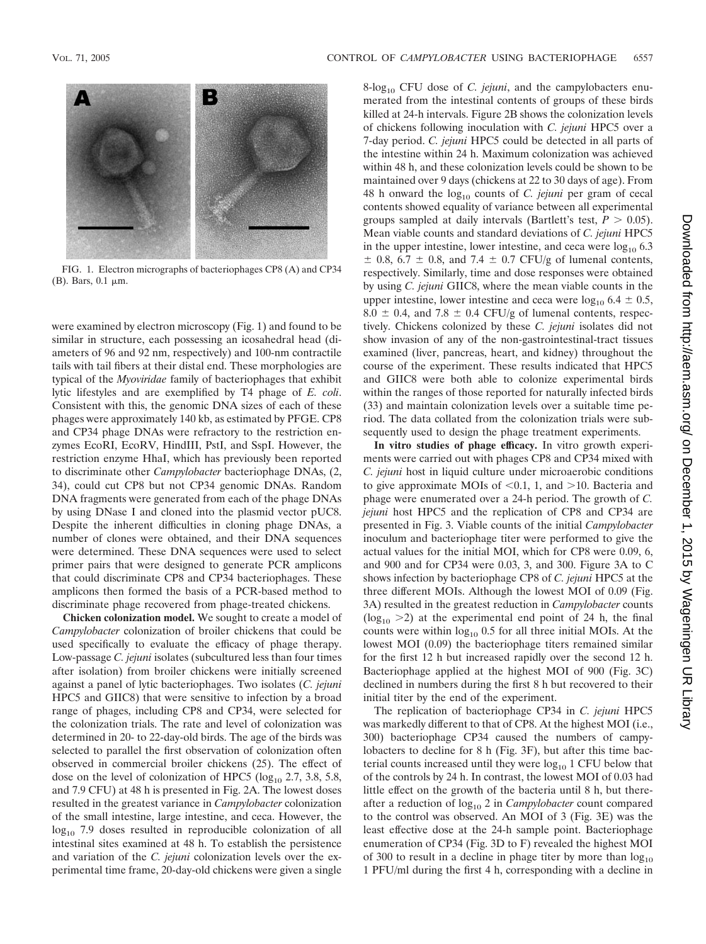

FIG. 1. Electron micrographs of bacteriophages CP8 (A) and CP34 (B). Bars,  $0.1 \mu m$ .

were examined by electron microscopy (Fig. 1) and found to be similar in structure, each possessing an icosahedral head (diameters of 96 and 92 nm, respectively) and 100-nm contractile tails with tail fibers at their distal end. These morphologies are typical of the *Myoviridae* family of bacteriophages that exhibit lytic lifestyles and are exemplified by T4 phage of *E. coli*. Consistent with this, the genomic DNA sizes of each of these phages were approximately 140 kb, as estimated by PFGE. CP8 and CP34 phage DNAs were refractory to the restriction enzymes EcoRI, EcoRV, HindIII, PstI, and SspI. However, the restriction enzyme HhaI, which has previously been reported to discriminate other *Campylobacter* bacteriophage DNAs, (2, 34), could cut CP8 but not CP34 genomic DNAs. Random DNA fragments were generated from each of the phage DNAs by using DNase I and cloned into the plasmid vector pUC8. Despite the inherent difficulties in cloning phage DNAs, a number of clones were obtained, and their DNA sequences were determined. These DNA sequences were used to select primer pairs that were designed to generate PCR amplicons that could discriminate CP8 and CP34 bacteriophages. These amplicons then formed the basis of a PCR-based method to discriminate phage recovered from phage-treated chickens.

**Chicken colonization model.** We sought to create a model of *Campylobacter* colonization of broiler chickens that could be used specifically to evaluate the efficacy of phage therapy. Low-passage *C. jejuni* isolates (subcultured less than four times after isolation) from broiler chickens were initially screened against a panel of lytic bacteriophages. Two isolates (*C. jejuni* HPC5 and GIIC8) that were sensitive to infection by a broad range of phages, including CP8 and CP34, were selected for the colonization trials. The rate and level of colonization was determined in 20- to 22-day-old birds. The age of the birds was selected to parallel the first observation of colonization often observed in commercial broiler chickens (25). The effect of dose on the level of colonization of HPC5 ( $log_{10}$  2.7, 3.8, 5.8, and 7.9 CFU) at 48 h is presented in Fig. 2A. The lowest doses resulted in the greatest variance in *Campylobacter* colonization of the small intestine, large intestine, and ceca. However, the  $log_{10}$  7.9 doses resulted in reproducible colonization of all intestinal sites examined at 48 h. To establish the persistence and variation of the *C. jejuni* colonization levels over the experimental time frame, 20-day-old chickens were given a single

8-log<sub>10</sub> CFU dose of *C. jejuni*, and the campylobacters enumerated from the intestinal contents of groups of these birds killed at 24-h intervals. Figure 2B shows the colonization levels of chickens following inoculation with *C. jejuni* HPC5 over a 7-day period. *C. jejuni* HPC5 could be detected in all parts of the intestine within 24 h. Maximum colonization was achieved within 48 h, and these colonization levels could be shown to be maintained over 9 days (chickens at 22 to 30 days of age). From 48 h onward the  $log_{10}$  counts of *C. jejuni* per gram of cecal contents showed equality of variance between all experimental groups sampled at daily intervals (Bartlett's test,  $P > 0.05$ ). Mean viable counts and standard deviations of *C. jejuni* HPC5 in the upper intestine, lower intestine, and ceca were  $log_{10} 6.3$  $\pm$  0.8, 6.7  $\pm$  0.8, and 7.4  $\pm$  0.7 CFU/g of lumenal contents, respectively. Similarly, time and dose responses were obtained by using *C. jejuni* GIIC8, where the mean viable counts in the upper intestine, lower intestine and ceca were  $log_{10} 6.4 \pm 0.5$ ,  $8.0 \pm 0.4$ , and  $7.8 \pm 0.4$  CFU/g of lumenal contents, respectively. Chickens colonized by these *C. jejuni* isolates did not show invasion of any of the non-gastrointestinal-tract tissues examined (liver, pancreas, heart, and kidney) throughout the course of the experiment. These results indicated that HPC5 and GIIC8 were both able to colonize experimental birds within the ranges of those reported for naturally infected birds (33) and maintain colonization levels over a suitable time period. The data collated from the colonization trials were subsequently used to design the phage treatment experiments.

**In vitro studies of phage efficacy.** In vitro growth experiments were carried out with phages CP8 and CP34 mixed with *C. jejuni* host in liquid culture under microaerobic conditions to give approximate MOIs of  $< 0.1$ , 1, and  $> 10$ . Bacteria and phage were enumerated over a 24-h period. The growth of *C. jejuni* host HPC5 and the replication of CP8 and CP34 are presented in Fig. 3. Viable counts of the initial *Campylobacter* inoculum and bacteriophage titer were performed to give the actual values for the initial MOI, which for CP8 were 0.09, 6, and 900 and for CP34 were 0.03, 3, and 300. Figure 3A to C shows infection by bacteriophage CP8 of *C. jejuni* HPC5 at the three different MOIs. Although the lowest MOI of 0.09 (Fig. 3A) resulted in the greatest reduction in *Campylobacter* counts  $(log_{10} > 2)$  at the experimental end point of 24 h, the final counts were within  $log_{10}$  0.5 for all three initial MOIs. At the lowest MOI (0.09) the bacteriophage titers remained similar for the first 12 h but increased rapidly over the second 12 h. Bacteriophage applied at the highest MOI of 900 (Fig. 3C) declined in numbers during the first 8 h but recovered to their initial titer by the end of the experiment.

The replication of bacteriophage CP34 in *C. jejuni* HPC5 was markedly different to that of CP8. At the highest MOI (i.e., 300) bacteriophage CP34 caused the numbers of campylobacters to decline for 8 h (Fig. 3F), but after this time bacterial counts increased until they were  $log_{10} 1$  CFU below that of the controls by 24 h. In contrast, the lowest MOI of 0.03 had little effect on the growth of the bacteria until 8 h, but thereafter a reduction of  $log_{10} 2$  in *Campylobacter* count compared to the control was observed. An MOI of 3 (Fig. 3E) was the least effective dose at the 24-h sample point. Bacteriophage enumeration of CP34 (Fig. 3D to F) revealed the highest MOI of 300 to result in a decline in phage titer by more than  $log_{10}$ 1 PFU/ml during the first 4 h, corresponding with a decline in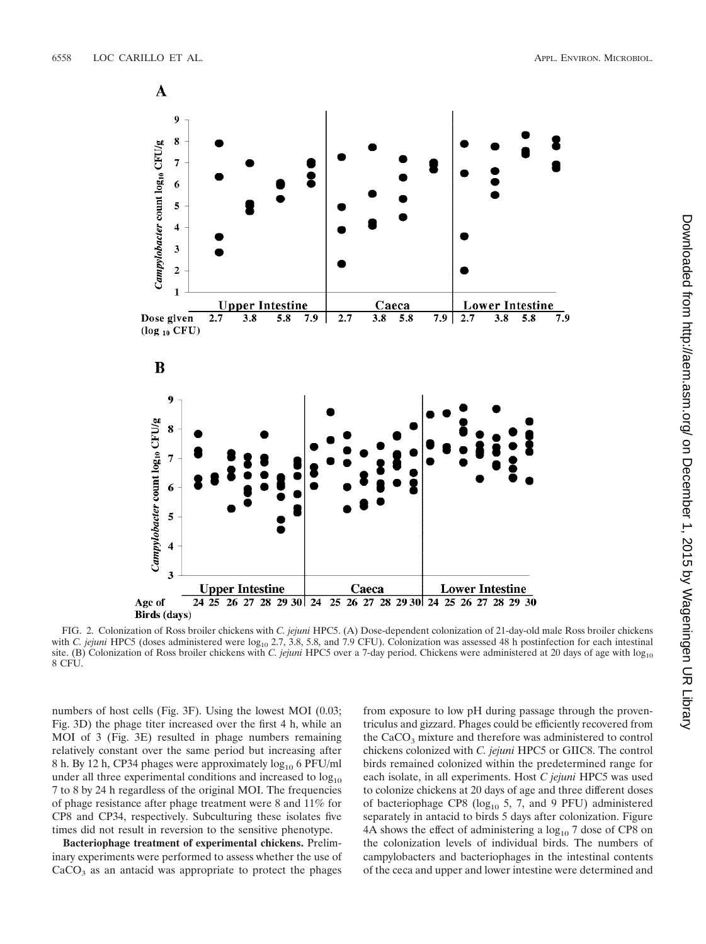

FIG. 2. Colonization of Ross broiler chickens with *C. jejuni* HPC5. (A) Dose-dependent colonization of 21-day-old male Ross broiler chickens with *C. jejuni* HPC5 (doses administered were  $log_{10} 2.7$ , 3.8, 5.8, and 7.9 CFU). Colonization was assessed 48 h postinfection for each intestinal site. (B) Colonization of Ross broiler chickens with *C. jejuni* HPC5 over a 7-day period. Chickens were administered at 20 days of age with log<sub>10</sub> 8 CFU.

numbers of host cells (Fig. 3F). Using the lowest MOI (0.03; Fig. 3D) the phage titer increased over the first 4 h, while an MOI of 3 (Fig. 3E) resulted in phage numbers remaining relatively constant over the same period but increasing after 8 h. By 12 h, CP34 phages were approximately  $log_{10} 6$  PFU/ml under all three experimental conditions and increased to  $log_{10}$ 7 to 8 by 24 h regardless of the original MOI. The frequencies of phage resistance after phage treatment were 8 and 11% for CP8 and CP34, respectively. Subculturing these isolates five times did not result in reversion to the sensitive phenotype.

**Bacteriophage treatment of experimental chickens.** Preliminary experiments were performed to assess whether the use of  $CaCO<sub>3</sub>$  as an antacid was appropriate to protect the phages

from exposure to low pH during passage through the proventriculus and gizzard. Phages could be efficiently recovered from the  $CaCO<sub>3</sub>$  mixture and therefore was administered to control chickens colonized with *C. jejuni* HPC5 or GIIC8. The control birds remained colonized within the predetermined range for each isolate, in all experiments. Host *C jejuni* HPC5 was used to colonize chickens at 20 days of age and three different doses of bacteriophage CP8 ( $log_{10}$  5, 7, and 9 PFU) administered separately in antacid to birds 5 days after colonization. Figure 4A shows the effect of administering a  $log_{10} 7$  dose of CP8 on the colonization levels of individual birds. The numbers of campylobacters and bacteriophages in the intestinal contents of the ceca and upper and lower intestine were determined and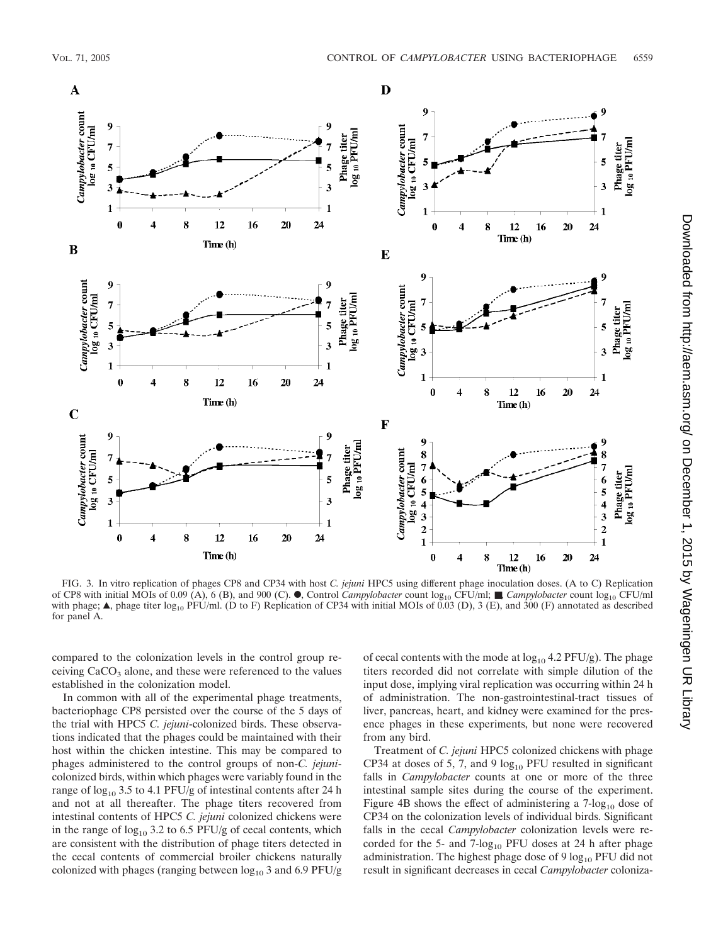

FIG. 3. In vitro replication of phages CP8 and CP34 with host *C. jejuni* HPC5 using different phage inoculation doses. (A to C) Replication of CP8 with initial MOIs of 0.09 (A), 6 (B), and 900 (C). ●, Control *Campylobacter* count log<sub>10</sub> CFU/ml; ■, *Campylobacter* count log<sub>10</sub> CFU/ml with phage;  $\blacktriangle$ , phage titer log<sub>10</sub> PFU/ml. (D to F) Replication of CP34 with initial MOIs of 0.03 (D), 3 (E), and 300 (F) annotated as described for panel A.

compared to the colonization levels in the control group receiving  $CaCO<sub>3</sub>$  alone, and these were referenced to the values established in the colonization model.

In common with all of the experimental phage treatments, bacteriophage CP8 persisted over the course of the 5 days of the trial with HPC5 *C. jejuni*-colonized birds. These observations indicated that the phages could be maintained with their host within the chicken intestine. This may be compared to phages administered to the control groups of non-*C. jejuni*colonized birds, within which phages were variably found in the range of  $log_{10} 3.5$  to 4.1 PFU/g of intestinal contents after 24 h and not at all thereafter. The phage titers recovered from intestinal contents of HPC5 *C. jejuni* colonized chickens were in the range of  $log_{10} 3.2$  to 6.5 PFU/g of cecal contents, which are consistent with the distribution of phage titers detected in the cecal contents of commercial broiler chickens naturally colonized with phages (ranging between  $log_{10} 3$  and 6.9 PFU/g

of cecal contents with the mode at  $log_{10}$  4.2 PFU/g). The phage titers recorded did not correlate with simple dilution of the input dose, implying viral replication was occurring within 24 h of administration. The non-gastrointestinal-tract tissues of liver, pancreas, heart, and kidney were examined for the presence phages in these experiments, but none were recovered from any bird.

Treatment of *C. jejuni* HPC5 colonized chickens with phage CP34 at doses of 5, 7, and 9  $log_{10}$  PFU resulted in significant falls in *Campylobacter* counts at one or more of the three intestinal sample sites during the course of the experiment. Figure 4B shows the effect of administering a  $7$ -log<sub>10</sub> dose of CP34 on the colonization levels of individual birds. Significant falls in the cecal *Campylobacter* colonization levels were recorded for the 5- and 7- $log_{10}$  PFU doses at 24 h after phage administration. The highest phage dose of  $9 \log_{10}$  PFU did not result in significant decreases in cecal *Campylobacter* coloniza-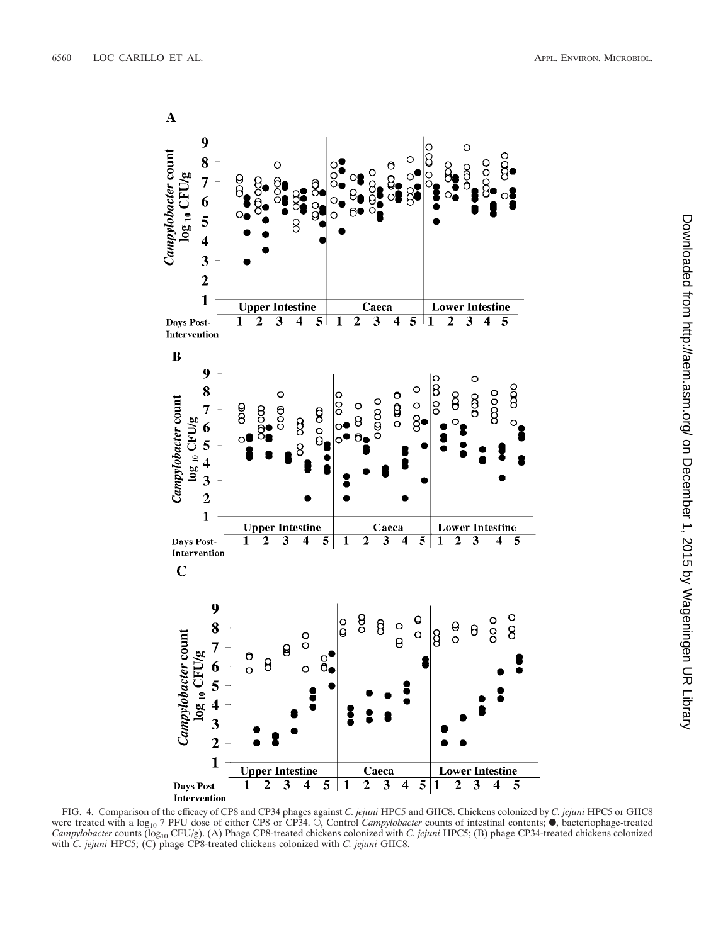

FIG. 4. Comparison of the efficacy of CP8 and CP34 phages against *C. jejuni* HPC5 and GIIC8. Chickens colonized by *C. jejuni* HPC5 or GIIC8 were treated with a log<sub>10</sub> 7 PFU dose of either CP8 or CP34. O, Control *Campylobacter* counts of intestinal contents;  $\bullet$ , bacteriophage-treated *Campylobacter* counts (log10 CFU/g). (A) Phage CP8-treated chickens colonized with *C. jejuni* HPC5; (B) phage CP34-treated chickens colonized with *C. jejuni* HPC5; (C) phage CP8-treated chickens colonized with *C. jejuni* GIIC8.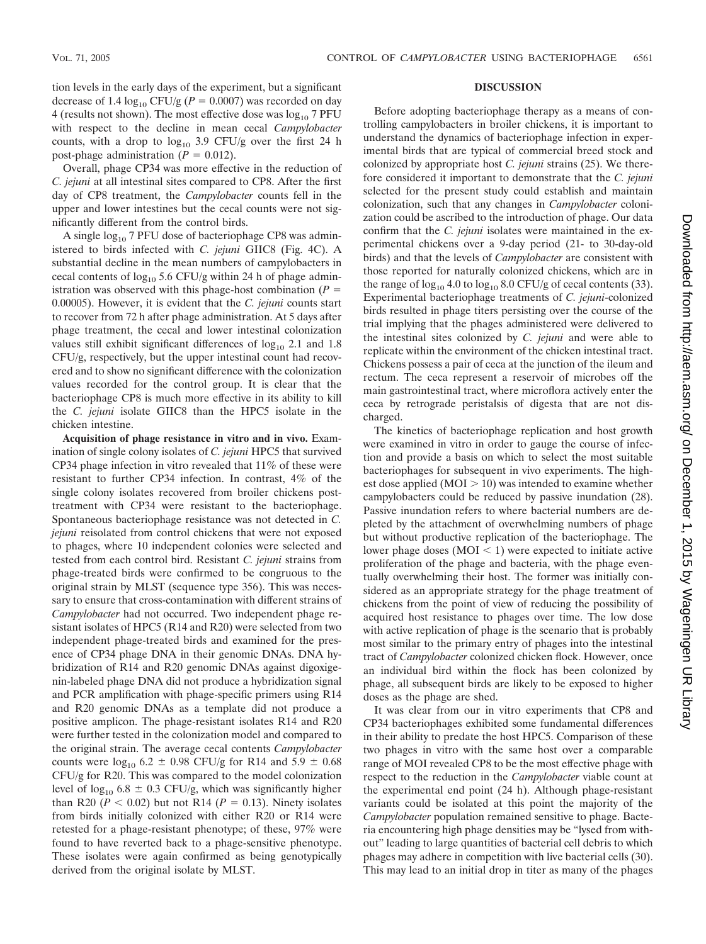tion levels in the early days of the experiment, but a significant decrease of 1.4  $log_{10}$  CFU/g ( $P = 0.0007$ ) was recorded on day 4 (results not shown). The most effective dose was  $log_{10} 7$  PFU with respect to the decline in mean cecal *Campylobacter* counts, with a drop to  $log_{10}$  3.9 CFU/g over the first 24 h post-phage administration  $(P = 0.012)$ .

Overall, phage CP34 was more effective in the reduction of *C. jejuni* at all intestinal sites compared to CP8. After the first day of CP8 treatment, the *Campylobacter* counts fell in the upper and lower intestines but the cecal counts were not significantly different from the control birds.

A single  $log_{10}$  7 PFU dose of bacteriophage CP8 was administered to birds infected with *C. jejuni* GIIC8 (Fig. 4C). A substantial decline in the mean numbers of campylobacters in cecal contents of  $log_{10} 5.6$  CFU/g within 24 h of phage administration was observed with this phage-host combination  $(P =$ 0.00005). However, it is evident that the *C. jejuni* counts start to recover from 72 h after phage administration. At 5 days after phage treatment, the cecal and lower intestinal colonization values still exhibit significant differences of  $log<sub>10</sub> 2.1$  and 1.8 CFU/g, respectively, but the upper intestinal count had recovered and to show no significant difference with the colonization values recorded for the control group. It is clear that the bacteriophage CP8 is much more effective in its ability to kill the *C. jejuni* isolate GIIC8 than the HPC5 isolate in the chicken intestine.

**Acquisition of phage resistance in vitro and in vivo.** Examination of single colony isolates of *C. jejuni* HPC5 that survived CP34 phage infection in vitro revealed that 11% of these were resistant to further CP34 infection. In contrast, 4% of the single colony isolates recovered from broiler chickens posttreatment with CP34 were resistant to the bacteriophage. Spontaneous bacteriophage resistance was not detected in *C. jejuni* reisolated from control chickens that were not exposed to phages, where 10 independent colonies were selected and tested from each control bird. Resistant *C. jejuni* strains from phage-treated birds were confirmed to be congruous to the original strain by MLST (sequence type 356). This was necessary to ensure that cross-contamination with different strains of *Campylobacter* had not occurred. Two independent phage resistant isolates of HPC5 (R14 and R20) were selected from two independent phage-treated birds and examined for the presence of CP34 phage DNA in their genomic DNAs. DNA hybridization of R14 and R20 genomic DNAs against digoxigenin-labeled phage DNA did not produce a hybridization signal and PCR amplification with phage-specific primers using R14 and R20 genomic DNAs as a template did not produce a positive amplicon. The phage-resistant isolates R14 and R20 were further tested in the colonization model and compared to the original strain. The average cecal contents *Campylobacter* counts were  $log_{10} 6.2 \pm 0.98$  CFU/g for R14 and 5.9  $\pm$  0.68 CFU/g for R20. This was compared to the model colonization level of  $log_{10} 6.8 \pm 0.3$  CFU/g, which was significantly higher than R20 ( $P < 0.02$ ) but not R14 ( $P = 0.13$ ). Ninety isolates from birds initially colonized with either R20 or R14 were retested for a phage-resistant phenotype; of these, 97% were found to have reverted back to a phage-sensitive phenotype. These isolates were again confirmed as being genotypically derived from the original isolate by MLST.

# **DISCUSSION**

Before adopting bacteriophage therapy as a means of controlling campylobacters in broiler chickens, it is important to understand the dynamics of bacteriophage infection in experimental birds that are typical of commercial breed stock and colonized by appropriate host *C. jejuni* strains (25). We therefore considered it important to demonstrate that the *C. jejuni* selected for the present study could establish and maintain colonization, such that any changes in *Campylobacter* colonization could be ascribed to the introduction of phage. Our data confirm that the *C. jejuni* isolates were maintained in the experimental chickens over a 9-day period (21- to 30-day-old birds) and that the levels of *Campylobacter* are consistent with those reported for naturally colonized chickens, which are in the range of  $log_{10}$  4.0 to  $log_{10}$  8.0 CFU/g of cecal contents (33). Experimental bacteriophage treatments of *C. jejuni*-colonized birds resulted in phage titers persisting over the course of the trial implying that the phages administered were delivered to the intestinal sites colonized by *C. jejuni* and were able to replicate within the environment of the chicken intestinal tract. Chickens possess a pair of ceca at the junction of the ileum and rectum. The ceca represent a reservoir of microbes off the main gastrointestinal tract, where microflora actively enter the ceca by retrograde peristalsis of digesta that are not discharged.

The kinetics of bacteriophage replication and host growth were examined in vitro in order to gauge the course of infection and provide a basis on which to select the most suitable bacteriophages for subsequent in vivo experiments. The highest dose applied  $(MOI > 10)$  was intended to examine whether campylobacters could be reduced by passive inundation (28). Passive inundation refers to where bacterial numbers are depleted by the attachment of overwhelming numbers of phage but without productive replication of the bacteriophage. The lower phage doses  $(MOI < 1)$  were expected to initiate active proliferation of the phage and bacteria, with the phage eventually overwhelming their host. The former was initially considered as an appropriate strategy for the phage treatment of chickens from the point of view of reducing the possibility of acquired host resistance to phages over time. The low dose with active replication of phage is the scenario that is probably most similar to the primary entry of phages into the intestinal tract of *Campylobacter* colonized chicken flock. However, once an individual bird within the flock has been colonized by phage, all subsequent birds are likely to be exposed to higher doses as the phage are shed.

It was clear from our in vitro experiments that CP8 and CP34 bacteriophages exhibited some fundamental differences in their ability to predate the host HPC5. Comparison of these two phages in vitro with the same host over a comparable range of MOI revealed CP8 to be the most effective phage with respect to the reduction in the *Campylobacter* viable count at the experimental end point (24 h). Although phage-resistant variants could be isolated at this point the majority of the *Campylobacter* population remained sensitive to phage. Bacteria encountering high phage densities may be "lysed from without" leading to large quantities of bacterial cell debris to which phages may adhere in competition with live bacterial cells (30). This may lead to an initial drop in titer as many of the phages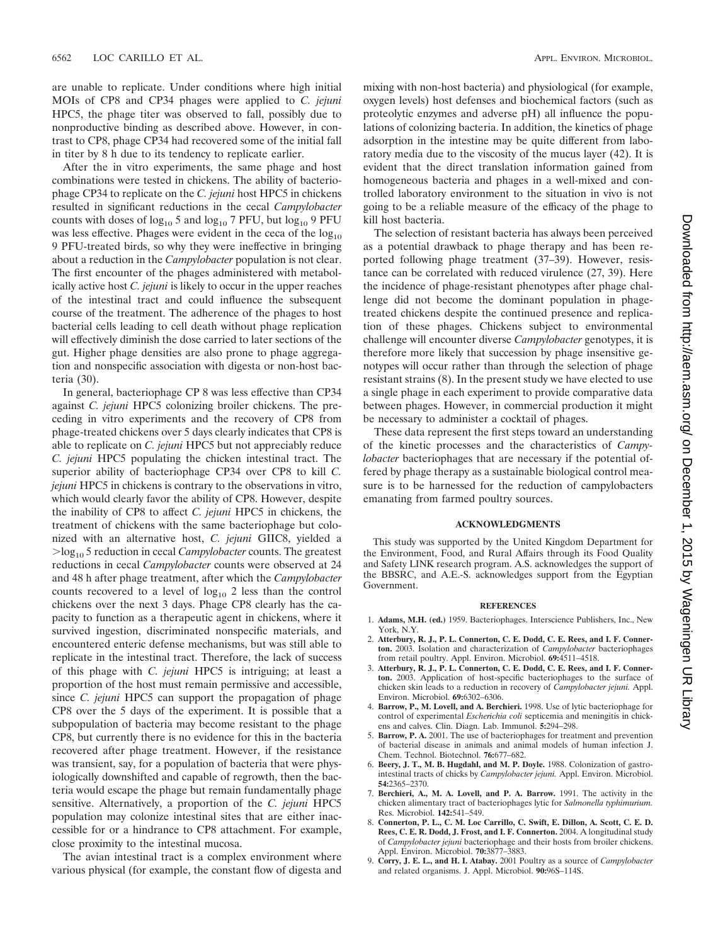are unable to replicate. Under conditions where high initial MOIs of CP8 and CP34 phages were applied to *C. jejuni* HPC5, the phage titer was observed to fall, possibly due to nonproductive binding as described above. However, in contrast to CP8, phage CP34 had recovered some of the initial fall in titer by 8 h due to its tendency to replicate earlier.

After the in vitro experiments, the same phage and host combinations were tested in chickens. The ability of bacteriophage CP34 to replicate on the *C. jejuni* host HPC5 in chickens resulted in significant reductions in the cecal *Campylobacter* counts with doses of  $log_{10} 5$  and  $log_{10} 7$  PFU, but  $log_{10} 9$  PFU was less effective. Phages were evident in the ceca of the  $log_{10}$ 9 PFU-treated birds, so why they were ineffective in bringing about a reduction in the *Campylobacter* population is not clear. The first encounter of the phages administered with metabolically active host *C. jejuni* is likely to occur in the upper reaches of the intestinal tract and could influence the subsequent course of the treatment. The adherence of the phages to host bacterial cells leading to cell death without phage replication will effectively diminish the dose carried to later sections of the gut. Higher phage densities are also prone to phage aggregation and nonspecific association with digesta or non-host bacteria (30).

In general, bacteriophage CP 8 was less effective than CP34 against *C. jejuni* HPC5 colonizing broiler chickens. The preceding in vitro experiments and the recovery of CP8 from phage-treated chickens over 5 days clearly indicates that CP8 is able to replicate on *C. jejuni* HPC5 but not appreciably reduce *C. jejuni* HPC5 populating the chicken intestinal tract. The superior ability of bacteriophage CP34 over CP8 to kill *C. jejuni* HPC5 in chickens is contrary to the observations in vitro, which would clearly favor the ability of CP8. However, despite the inability of CP8 to affect *C. jejuni* HPC5 in chickens, the treatment of chickens with the same bacteriophage but colonized with an alternative host, *C. jejuni* GIIC8, yielded a log10 5 reduction in cecal *Campylobacter* counts. The greatest reductions in cecal *Campylobacter* counts were observed at 24 and 48 h after phage treatment, after which the *Campylobacter* counts recovered to a level of  $log_{10} 2$  less than the control chickens over the next 3 days. Phage CP8 clearly has the capacity to function as a therapeutic agent in chickens, where it survived ingestion, discriminated nonspecific materials, and encountered enteric defense mechanisms, but was still able to replicate in the intestinal tract. Therefore, the lack of success of this phage with *C. jejuni* HPC5 is intriguing; at least a proportion of the host must remain permissive and accessible, since *C. jejuni* HPC5 can support the propagation of phage CP8 over the 5 days of the experiment. It is possible that a subpopulation of bacteria may become resistant to the phage CP8, but currently there is no evidence for this in the bacteria recovered after phage treatment. However, if the resistance was transient, say, for a population of bacteria that were physiologically downshifted and capable of regrowth, then the bacteria would escape the phage but remain fundamentally phage sensitive. Alternatively, a proportion of the *C. jejuni* HPC5 population may colonize intestinal sites that are either inaccessible for or a hindrance to CP8 attachment. For example, close proximity to the intestinal mucosa.

The avian intestinal tract is a complex environment where various physical (for example, the constant flow of digesta and

mixing with non-host bacteria) and physiological (for example, oxygen levels) host defenses and biochemical factors (such as proteolytic enzymes and adverse pH) all influence the populations of colonizing bacteria. In addition, the kinetics of phage adsorption in the intestine may be quite different from laboratory media due to the viscosity of the mucus layer (42). It is evident that the direct translation information gained from homogeneous bacteria and phages in a well-mixed and controlled laboratory environment to the situation in vivo is not going to be a reliable measure of the efficacy of the phage to kill host bacteria.

The selection of resistant bacteria has always been perceived as a potential drawback to phage therapy and has been reported following phage treatment (37–39). However, resistance can be correlated with reduced virulence (27, 39). Here the incidence of phage-resistant phenotypes after phage challenge did not become the dominant population in phagetreated chickens despite the continued presence and replication of these phages. Chickens subject to environmental challenge will encounter diverse *Campylobacter* genotypes, it is therefore more likely that succession by phage insensitive genotypes will occur rather than through the selection of phage resistant strains (8). In the present study we have elected to use a single phage in each experiment to provide comparative data between phages. However, in commercial production it might be necessary to administer a cocktail of phages.

These data represent the first steps toward an understanding of the kinetic processes and the characteristics of *Campylobacter* bacteriophages that are necessary if the potential offered by phage therapy as a sustainable biological control measure is to be harnessed for the reduction of campylobacters emanating from farmed poultry sources.

# **ACKNOWLEDGMENTS**

This study was supported by the United Kingdom Department for the Environment, Food, and Rural Affairs through its Food Quality and Safety LINK research program. A.S. acknowledges the support of the BBSRC, and A.E.-S. acknowledges support from the Egyptian Government.

#### **REFERENCES**

- 1. **Adams, M.H. (ed.)** 1959. Bacteriophages. Interscience Publishers, Inc., New York, N.Y.
- 2. **Atterbury, R. J., P. L. Connerton, C. E. Dodd, C. E. Rees, and I. F. Connerton.** 2003. Isolation and characterization of *Campylobacter* bacteriophages from retail poultry. Appl. Environ. Microbiol. **69:**4511–4518.
- 3. **Atterbury, R. J., P. L. Connerton, C. E. Dodd, C. E. Rees, and I. F. Connerton.** 2003. Application of host-specific bacteriophages to the surface of chicken skin leads to a reduction in recovery of *Campylobacter jejuni.* Appl. Environ. Microbiol. **69:**6302–6306.
- 4. **Barrow, P., M. Lovell, and A. Berchieri.** 1998. Use of lytic bacteriophage for control of experimental *Escherichia coli* septicemia and meningitis in chickens and calves. Clin. Diagn. Lab. Immunol. **5:**294–298.
- 5. **Barrow, P. A.** 2001. The use of bacteriophages for treatment and prevention of bacterial disease in animals and animal models of human infection J. Chem. Technol. Biotechnol. **76:**677–682.
- 6. **Beery, J. T., M. B. Hugdahl, and M. P. Doyle.** 1988. Colonization of gastrointestinal tracts of chicks by *Campylobacter jejuni.* Appl. Environ. Microbiol. **54:**2365–2370.
- 7. **Berchieri, A., M. A. Lovell, and P. A. Barrow.** 1991. The activity in the chicken alimentary tract of bacteriophages lytic for *Salmonella typhimurium.* Res. Microbiol. **142:**541–549.
- 8. **Connerton, P. L., C. M. Loc Carrillo, C. Swift, E. Dillon, A. Scott, C. E. D. Rees, C. E. R. Dodd, J. Frost, and I. F. Connerton.** 2004. A longitudinal study of *Campylobacter jejuni* bacteriophage and their hosts from broiler chickens. Appl. Environ. Microbiol. **70:**3877–3883.
- 9. **Corry, J. E. L., and H. I. Atabay.** 2001 Poultry as a source of *Campylobacter* and related organisms. J. Appl. Microbiol. **90:**96S–114S.